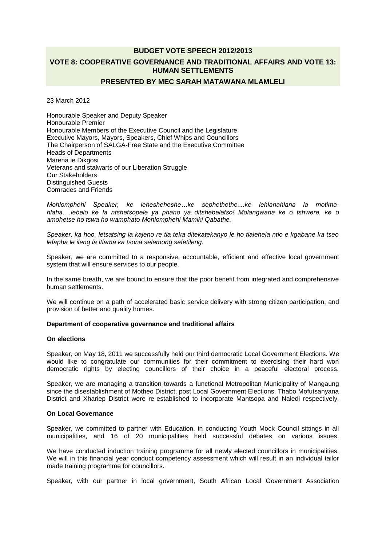# **BUDGET VOTE SPEECH 2012/2013 VOTE 8: COOPERATIVE GOVERNANCE AND TRADITIONAL AFFAIRS AND VOTE 13: HUMAN SETTLEMENTS**

# **PRESENTED BY MEC SARAH MATAWANA MLAMLELI**

23 March 2012

Honourable Speaker and Deputy Speaker Honourable Premier Honourable Members of the Executive Council and the Legislature Executive Mayors, Mayors, Speakers, Chief Whips and Councillors The Chairperson of SALGA-Free State and the Executive Committee Heads of Departments Marena le Dikgosi Veterans and stalwarts of our Liberation Struggle Our Stakeholders Distinguished Guests Comrades and Friends

*Mohlomphehi Speaker, ke lehesheheshe…ke sephethethe....ke lehlanahlana la motimahlaha….lebelo ke la ntshetsopele ya phano ya ditshebeletso! Molangwana ke o tshwere, ke o amohetse ho tswa ho wamphato Mohlomphehi Mamiki Qabathe.*

*Speaker, ka hoo, letsatsing la kajeno re tla teka ditekatekanyo le ho tlalehela ntlo e kgabane ka tseo lefapha le ileng la itlama ka tsona selemong sefetileng.*

Speaker, we are committed to a responsive, accountable, efficient and effective local government system that will ensure services to our people.

In the same breath, we are bound to ensure that the poor benefit from integrated and comprehensive human settlements.

We will continue on a path of accelerated basic service delivery with strong citizen participation, and provision of better and quality homes.

#### **Department of cooperative governance and traditional affairs**

## **On elections**

Speaker, on May 18, 2011 we successfully held our third democratic Local Government Elections. We would like to congratulate our communities for their commitment to exercising their hard won democratic rights by electing councillors of their choice in a peaceful electoral process.

Speaker, we are managing a transition towards a functional Metropolitan Municipality of Mangaung since the disestablishment of Motheo District, post Local Government Elections. Thabo Mofutsanyana District and Xhariep District were re-established to incorporate Mantsopa and Naledi respectively.

#### **On Local Governance**

Speaker, we committed to partner with Education, in conducting Youth Mock Council sittings in all municipalities, and 16 of 20 municipalities held successful debates on various issues.

We have conducted induction training programme for all newly elected councillors in municipalities. We will in this financial year conduct competency assessment which will result in an individual tailor made training programme for councillors.

Speaker, with our partner in local government, South African Local Government Association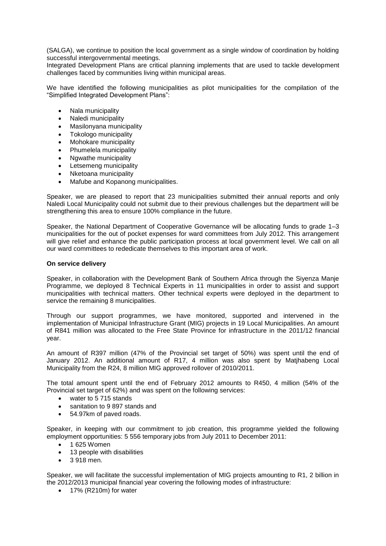(SALGA), we continue to position the local government as a single window of coordination by holding successful intergovernmental meetings.

Integrated Development Plans are critical planning implements that are used to tackle development challenges faced by communities living within municipal areas.

We have identified the following municipalities as pilot municipalities for the compilation of the "Simplified Integrated Development Plans":

- Nala municipality
- Naledi municipality
- Masilonyana municipality
- Tokologo municipality
- Mohokare municipality
- Phumelela municipality
- Nawathe municipality
- Letsemeng municipality
- Nketoana municipality
- Mafube and Kopanong municipalities.

Speaker, we are pleased to report that 23 municipalities submitted their annual reports and only Naledi Local Municipality could not submit due to their previous challenges but the department will be strengthening this area to ensure 100% compliance in the future.

Speaker, the National Department of Cooperative Governance will be allocating funds to grade 1–3 municipalities for the out of pocket expenses for ward committees from July 2012. This arrangement will give relief and enhance the public participation process at local government level. We call on all our ward committees to rededicate themselves to this important area of work.

#### **On service delivery**

Speaker, in collaboration with the Development Bank of Southern Africa through the Siyenza Manje Programme, we deployed 8 Technical Experts in 11 municipalities in order to assist and support municipalities with technical matters. Other technical experts were deployed in the department to service the remaining 8 municipalities.

Through our support programmes, we have monitored, supported and intervened in the implementation of Municipal Infrastructure Grant (MIG) projects in 19 Local Municipalities. An amount of R841 million was allocated to the Free State Province for infrastructure in the 2011/12 financial year.

An amount of R397 million (47% of the Provincial set target of 50%) was spent until the end of January 2012. An additional amount of R17, 4 million was also spent by Matjhabeng Local Municipality from the R24, 8 million MIG approved rollover of 2010/2011.

The total amount spent until the end of February 2012 amounts to R450, 4 million (54% of the Provincial set target of 62%) and was spent on the following services:

- water to 5 715 stands
- sanitation to 9 897 stands and
- 54.97km of paved roads.

Speaker, in keeping with our commitment to job creation, this programme yielded the following employment opportunities: 5 556 temporary jobs from July 2011 to December 2011:

- $\bullet$  1 625 Women
- 13 people with disabilities
- 3 918 men.

Speaker, we will facilitate the successful implementation of MIG projects amounting to R1, 2 billion in the 2012/2013 municipal financial year covering the following modes of infrastructure:

• 17% (R210m) for water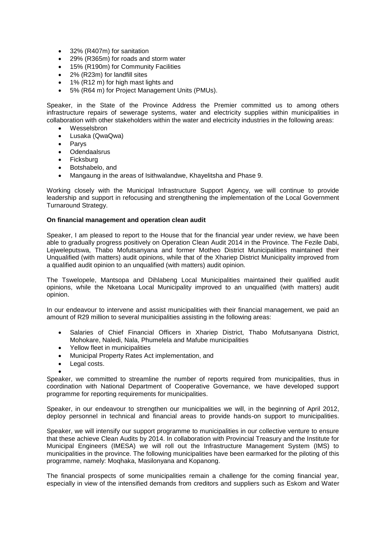- 32% (R407m) for sanitation
- 29% (R365m) for roads and storm water
- 15% (R190m) for Community Facilities
- 2% (R23m) for landfill sites
- 1% (R12 m) for high mast lights and
- 5% (R64 m) for Project Management Units (PMUs).

Speaker, in the State of the Province Address the Premier committed us to among others infrastructure repairs of sewerage systems, water and electricity supplies within municipalities in collaboration with other stakeholders within the water and electricity industries in the following areas:

- Wesselsbron
- Lusaka (QwaQwa)
- Parys
- Odendaalsrus
- Ficksburg
- Botshabelo, and
- Mangaung in the areas of Isithwalandwe, Khayelitsha and Phase 9.

Working closely with the Municipal Infrastructure Support Agency, we will continue to provide leadership and support in refocusing and strengthening the implementation of the Local Government Turnaround Strategy.

#### **On financial management and operation clean audit**

Speaker, I am pleased to report to the House that for the financial year under review, we have been able to gradually progress positively on Operation Clean Audit 2014 in the Province. The Fezile Dabi, Lejweleputswa, Thabo Mofutsanyana and former Motheo District Municipalities maintained their Unqualified (with matters) audit opinions, while that of the Xhariep District Municipality improved from a qualified audit opinion to an unqualified (with matters) audit opinion.

The Tswelopele, Mantsopa and Dihlabeng Local Municipalities maintained their qualified audit opinions, while the Nketoana Local Municipality improved to an unqualified (with matters) audit opinion.

In our endeavour to intervene and assist municipalities with their financial management, we paid an amount of R29 million to several municipalities assisting in the following areas:

- Salaries of Chief Financial Officers in Xhariep District, Thabo Mofutsanyana District, Mohokare, Naledi, Nala, Phumelela and Mafube municipalities
- Yellow fleet in municipalities
- Municipal Property Rates Act implementation, and
- Legal costs.

 $\bullet$ Speaker, we committed to streamline the number of reports required from municipalities, thus in coordination with National Department of Cooperative Governance, we have developed support programme for reporting requirements for municipalities.

Speaker, in our endeavour to strengthen our municipalities we will, in the beginning of April 2012, deploy personnel in technical and financial areas to provide hands-on support to municipalities.

Speaker, we will intensify our support programme to municipalities in our collective venture to ensure that these achieve Clean Audits by 2014. In collaboration with Provincial Treasury and the Institute for Municipal Engineers (IMESA) we will roll out the Infrastructure Management System (IMS) to municipalities in the province. The following municipalities have been earmarked for the piloting of this programme, namely: Moqhaka, Masilonyana and Kopanong.

The financial prospects of some municipalities remain a challenge for the coming financial year, especially in view of the intensified demands from creditors and suppliers such as Eskom and Water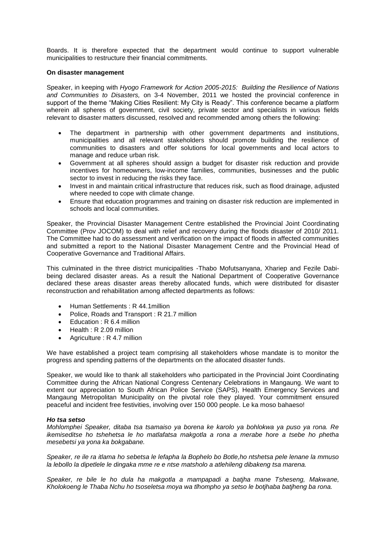Boards. It is therefore expected that the department would continue to support vulnerable municipalities to restructure their financial commitments.

#### **On disaster management**

Speaker, in keeping with *Hyogo Framework for Action 2005-2015: Building the Resilience of Nations and Communities to Disasters,* on 3-4 November, 2011 we hosted the provincial conference in support of the theme "Making Cities Resilient: My City is Ready". This conference became a platform wherein all spheres of government, civil society, private sector and specialists in various fields relevant to disaster matters discussed, resolved and recommended among others the following:

- The department in partnership with other government departments and institutions, municipalities and all relevant stakeholders should promote building the resilience of communities to disasters and offer solutions for local governments and local actors to manage and reduce urban risk.
- Government at all spheres should assign a budget for disaster risk reduction and provide incentives for homeowners, low-income families, communities, businesses and the public sector to invest in reducing the risks they face.
- Invest in and maintain critical infrastructure that reduces risk, such as flood drainage, adjusted where needed to cope with climate change.
- Ensure that education programmes and training on disaster risk reduction are implemented in schools and local communities.

Speaker, the Provincial Disaster Management Centre established the Provincial Joint Coordinating Committee (Prov JOCOM) to deal with relief and recovery during the floods disaster of 2010/ 2011. The Committee had to do assessment and verification on the impact of floods in affected communities and submitted a report to the National Disaster Management Centre and the Provincial Head of Cooperative Governance and Traditional Affairs.

This culminated in the three district municipalities -Thabo Mofutsanyana, Xhariep and Fezile Dabibeing declared disaster areas. As a result the National Department of Cooperative Governance declared these areas disaster areas thereby allocated funds, which were distributed for disaster reconstruction and rehabilitation among affected departments as follows:

- Human Settlements: R 44.1 million
- Police, Roads and Transport : R 21.7 million
- Education : R 6.4 million
- Health : R 2.09 million
- Agriculture : R 4.7 million

We have established a project team comprising all stakeholders whose mandate is to monitor the progress and spending patterns of the departments on the allocated disaster funds.

Speaker, we would like to thank all stakeholders who participated in the Provincial Joint Coordinating Committee during the African National Congress Centenary Celebrations in Mangaung. We want to extent our appreciation to South African Police Service (SAPS), Health Emergency Services and Mangaung Metropolitan Municipality on the pivotal role they played. Your commitment ensured peaceful and incident free festivities, involving over 150 000 people. Le ka moso bahaeso!

#### *Ho tsa setso*

*Mohlomphei Speaker, ditaba tsa tsamaiso ya borena ke karolo ya bohlokwa ya puso ya rona. Re ikemiseditse ho tshehetsa le ho matlafatsa makgotla a rona a merabe hore a tsebe ho phetha mesebetsi ya yona ka bokgabane.*

*Speaker, re ile ra itlama ho sebetsa le lefapha la Bophelo bo Botle,ho ntshetsa pele lenane la mmuso la lebollo la dipetlele le dingaka mme re e ntse matsholo a atlehileng dibakeng tsa marena.*

*Speaker, re bile le ho dula ha makgotla a mampapadi a batjha mane Tsheseng, Makwane, Kholokoeng le Thaba Nchu ho tsoseletsa moya wa tlhompho ya setso le botjhaba batjheng ba rona.*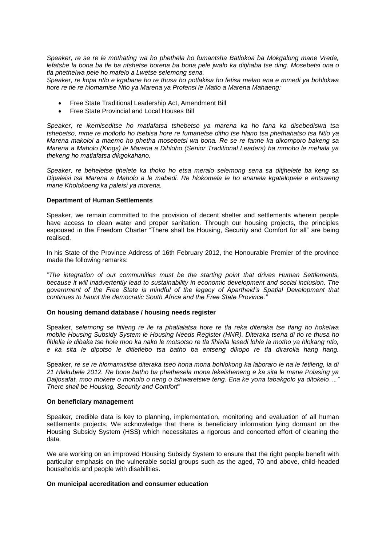*Speaker, re se re le mothating wa ho phethela ho fumantsha Batlokoa ba Mokgalong mane Vrede, lefatshe la bona ba tle ba ntshetse borena ba bona pele jwalo ka ditjhaba tse ding. Mosebetsi ona o tla phethelwa pele ho mafelo a Lwetse selemong sena.*

*Speaker, re kopa ntlo e kgabane ho re thusa ho potlakisa ho fetisa melao ena e mmedi ya bohlokwa hore re tle re hlomamise Ntlo ya Marena ya Profensi le Matlo a Marena Mahaeng:*

- Free State Traditional Leadership Act, Amendment Bill
- Free State Provincial and Local Houses Bill

*Speaker, re ikemiseditse ho matlafatsa tshebetso ya marena ka ho fana ka disebediswa tsa tshebetso, mme re motlotlo ho tsebisa hore re fumanetse ditho tse hlano tsa phethahatso tsa Ntlo ya Marena makoloi a maemo ho phetha mosebetsi wa bona. Re se re fanne ka dikomporo bakeng sa Marena a Maholo (Kings) le Marena a Dihloho (Senior Traditional Leaders) ha mmoho le mehala ya thekeng ho matlafatsa dikgokahano.*

*Speaker, re beheletse tjhelete ka thoko ho etsa meralo selemong sena sa ditjhelete ba keng sa Dipaleisi tsa Marena a Maholo a le mabedi. Re hlokomela le ho ananela kgatelopele e entsweng mane Kholokoeng ka paleisi ya morena.*

#### **Department of Human Settlements**

Speaker, we remain committed to the provision of decent shelter and settlements wherein people have access to clean water and proper sanitation. Through our housing projects, the principles espoused in the Freedom Charter "There shall be Housing, Security and Comfort for all" are being realised.

In his State of the Province Address of 16th February 2012, the Honourable Premier of the province made the following remarks:

"*The integration of our communities must be the starting point that drives Human Settlements, because it will inadvertently lead to sustainability in economic development and social inclusion. The government of the Free State is mindful of the legacy of Apartheid's Spatial Development that continues to haunt the democratic South Africa and the Free State Province."*

#### **On housing demand database / housing needs register**

Speaker, *selemong se fitileng re ile ra phatlalatsa hore re tla reka diteraka tse tlang ho hokelwa mobile Housing Subsidy System le Housing Needs Register (HNR). Diteraka tsena di tlo re thusa ho fihlella le dibaka tse hole moo ka nako le motsotso re tla fihlella lesedi lohle la motho ya hlokang ntlo, e ka sita le dipotso le ditletlebo tsa batho ba entseng dikopo re tla dirarolla hang hang.*

Speaker, *re se re hlomamisitse diteraka tseo hona mona bohlokong ka laboraro le na le fetileng, la di 21 Hlakubele 2012. Re bone batho ba phethesela mona lekeisheneng e ka sita le mane Polasing ya Daljosafat, moo mokete o moholo o neng o tshwaretswe teng. Ena ke yona tabakgolo ya ditokelo…." There shall be Housing, Security and Comfort"*

#### **On beneficiary management**

Speaker, credible data is key to planning, implementation, monitoring and evaluation of all human settlements projects. We acknowledge that there is beneficiary information lying dormant on the Housing Subsidy System (HSS) which necessitates a rigorous and concerted effort of cleaning the data.

We are working on an improved Housing Subsidy System to ensure that the right people benefit with particular emphasis on the vulnerable social groups such as the aged, 70 and above, child-headed households and people with disabilities.

#### **On municipal accreditation and consumer education**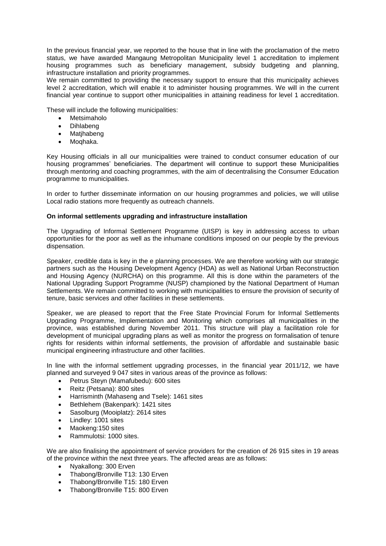In the previous financial year, we reported to the house that in line with the proclamation of the metro status, we have awarded Mangaung Metropolitan Municipality level 1 accreditation to implement housing programmes such as beneficiary management, subsidy budgeting and planning, infrastructure installation and priority programmes.

We remain committed to providing the necessary support to ensure that this municipality achieves level 2 accreditation, which will enable it to administer housing programmes. We will in the current financial year continue to support other municipalities in attaining readiness for level 1 accreditation.

These will include the following municipalities:

- Metsimaholo
- Dihlabeng
- Matjhabeng
- Moghaka.

Key Housing officials in all our municipalities were trained to conduct consumer education of our housing programmes" beneficiaries. The department will continue to support these Municipalities through mentoring and coaching programmes, with the aim of decentralising the Consumer Education programme to municipalities.

In order to further disseminate information on our housing programmes and policies, we will utilise Local radio stations more frequently as outreach channels.

#### **On informal settlements upgrading and infrastructure installation**

The Upgrading of Informal Settlement Programme (UISP) is key in addressing access to urban opportunities for the poor as well as the inhumane conditions imposed on our people by the previous dispensation.

Speaker, credible data is key in the e planning processes. We are therefore working with our strategic partners such as the Housing Development Agency (HDA) as well as National Urban Reconstruction and Housing Agency (NURCHA) on this programme. All this is done within the parameters of the National Upgrading Support Programme (NUSP) championed by the National Department of Human Settlements. We remain committed to working with municipalities to ensure the provision of security of tenure, basic services and other facilities in these settlements.

Speaker, we are pleased to report that the Free State Provincial Forum for Informal Settlements Upgrading Programme, Implementation and Monitoring which comprises all municipalities in the province, was established during November 2011. This structure will play a facilitation role for development of municipal upgrading plans as well as monitor the progress on formalisation of tenure rights for residents within informal settlements, the provision of affordable and sustainable basic municipal engineering infrastructure and other facilities.

In line with the informal settlement upgrading processes, in the financial year 2011/12, we have planned and surveyed 9 047 sites in various areas of the province as follows:

- Petrus Steyn (Mamafubedu): 600 sites
- Reitz (Petsana): 800 sites
- Harrisminth (Mahaseng and Tsele): 1461 sites
- Bethlehem (Bakenpark): 1421 sites
- Sasolburg (Mooiplatz): 2614 sites
- Lindley: 1001 sites
- Maokeng:150 sites
- Rammulotsi: 1000 sites.

We are also finalising the appointment of service providers for the creation of 26 915 sites in 19 areas of the province within the next three years. The affected areas are as follows:

- Nyakallong: 300 Erven
- Thabong/Bronville T13: 130 Erven
- Thabong/Bronville T15: 180 Erven
- Thabong/Bronville T15: 800 Erven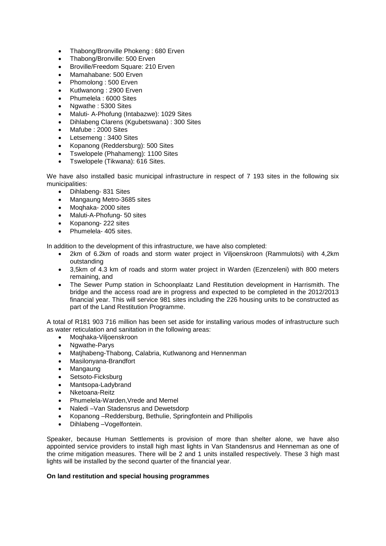- Thabong/Bronville Phokeng : 680 Erven
- Thabong/Bronville: 500 Erven
- Broville/Freedom Square: 210 Erven
- Mamahabane: 500 Erven
- Phomolong : 500 Erven
- Kutlwanong : 2900 Erven
- Phumelela : 6000 Sites
- Ngwathe : 5300 Sites
- Maluti- A-Phofung (Intabazwe): 1029 Sites
- Dihlabeng Clarens (Kgubetswana) : 300 Sites
- Mafube : 2000 Sites
- Letsemeng : 3400 Sites
- Kopanong (Reddersburg): 500 Sites
- Tswelopele (Phahameng): 1100 Sites
- Tswelopele (Tikwana): 616 Sites.

We have also installed basic municipal infrastructure in respect of 7 193 sites in the following six municipalities:

- Dihlabeng- 831 Sites
- Mangaung Metro-3685 sites
- Moqhaka- 2000 sites
- Maluti-A-Phofung- 50 sites
- Kopanong- 222 sites
- Phumelela- 405 sites.

In addition to the development of this infrastructure, we have also completed:

- 2km of 6.2km of roads and storm water project in Viljoenskroon (Rammulotsi) with 4,2km outstanding
- 3,5km of 4.3 km of roads and storm water project in Warden (Ezenzeleni) with 800 meters remaining, and
- The Sewer Pump station in Schoonplaatz Land Restitution development in Harrismith. The bridge and the access road are in progress and expected to be completed in the 2012/2013 financial year. This will service 981 sites including the 226 housing units to be constructed as part of the Land Restitution Programme.

A total of R181 903 716 million has been set aside for installing various modes of infrastructure such as water reticulation and sanitation in the following areas:

- Moqhaka-Viljoenskroon
- Nawathe-Parys
- Matjhabeng-Thabong, Calabria, Kutlwanong and Hennenman
- Masilonyana-Brandfort
- Mangaung
- Setsoto-Ficksburg
- Mantsopa-Ladybrand
- Nketoana-Reitz
- Phumelela-Warden,Vrede and Memel
- Naledi –Van Stadensrus and Dewetsdorp
- Kopanong –Reddersburg, Bethulie, Springfontein and Phillipolis
- Dihlabeng –Vogelfontein.

Speaker, because Human Settlements is provision of more than shelter alone, we have also appointed service providers to install high mast lights in Van Standensrus and Henneman as one of the crime mitigation measures. There will be 2 and 1 units installed respectively. These 3 high mast lights will be installed by the second quarter of the financial year.

## **On land restitution and special housing programmes**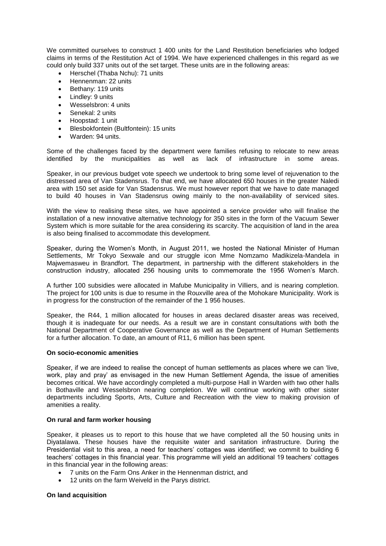We committed ourselves to construct 1 400 units for the Land Restitution beneficiaries who lodged claims in terms of the Restitution Act of 1994. We have experienced challenges in this regard as we could only build 337 units out of the set target. These units are in the following areas:

- Herschel (Thaba Nchu): 71 units
- Hennenman: 22 units
- Bethany: 119 units
- Lindley: 9 units
- Wesselsbron: 4 units
- Senekal: 2 units
- Hoopstad: 1 unit
- Blesbokfontein (Bultfontein): 15 units
- Warden: 94 units.

Some of the challenges faced by the department were families refusing to relocate to new areas identified by the municipalities as well as lack of infrastructure in some areas.

Speaker, in our previous budget vote speech we undertook to bring some level of rejuvenation to the distressed area of Van Stadensrus. To that end, we have allocated 650 houses in the greater Naledi area with 150 set aside for Van Stadensrus. We must however report that we have to date managed to build 40 houses in Van Stadensrus owing mainly to the non-availability of serviced sites.

With the view to realising these sites, we have appointed a service provider who will finalise the installation of a new innovative alternative technology for 350 sites in the form of the Vacuum Sewer System which is more suitable for the area considering its scarcity. The acquisition of land in the area is also being finalised to accommodate this development.

Speaker, during the Women"s Month, in August 2011, we hosted the National Minister of Human Settlements, Mr Tokyo Sexwale and our struggle icon Mme Nomzamo Madikizela-Mandela in Majwemasweu in Brandfort. The department, in partnership with the different stakeholders in the construction industry, allocated 256 housing units to commemorate the 1956 Women"s March.

A further 100 subsidies were allocated in Mafube Municipality in Villiers, and is nearing completion. The project for 100 units is due to resume in the Rouxville area of the Mohokare Municipality. Work is in progress for the construction of the remainder of the 1 956 houses.

Speaker, the R44, 1 million allocated for houses in areas declared disaster areas was received, though it is inadequate for our needs. As a result we are in constant consultations with both the National Department of Cooperative Governance as well as the Department of Human Settlements for a further allocation. To date, an amount of R11, 6 million has been spent.

#### **On socio-economic amenities**

Speaker, if we are indeed to realise the concept of human settlements as places where we can "live, work, play and pray" as envisaged in the new Human Settlement Agenda, the issue of amenities becomes critical. We have accordingly completed a multi-purpose Hall in Warden with two other halls in Bothaville and Wesselsbron nearing completion. We will continue working with other sister departments including Sports, Arts, Culture and Recreation with the view to making provision of amenities a reality.

#### **On rural and farm worker housing**

Speaker, it pleases us to report to this house that we have completed all the 50 housing units in Diyatalawa. These houses have the requisite water and sanitation infrastructure. During the Presidential visit to this area, a need for teachers' cottages was identified; we commit to building 6 teachers" cottages in this financial year. This programme will yield an additional 19 teachers" cottages in this financial year in the following areas:

- 7 units on the Farm Ons Anker in the Hennenman district, and
- 12 units on the farm Weiveld in the Parys district.

#### **On land acquisition**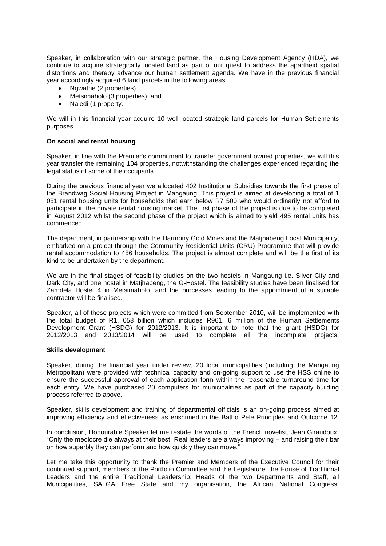Speaker, in collaboration with our strategic partner, the Housing Development Agency (HDA), we continue to acquire strategically located land as part of our quest to address the apartheid spatial distortions and thereby advance our human settlement agenda. We have in the previous financial year accordingly acquired 6 land parcels in the following areas:

- Ngwathe (2 properties)
- Metsimaholo (3 properties), and
- Naledi (1 property.

We will in this financial year acquire 10 well located strategic land parcels for Human Settlements purposes.

#### **On social and rental housing**

Speaker, in line with the Premier"s commitment to transfer government owned properties, we will this year transfer the remaining 104 properties, notwithstanding the challenges experienced regarding the legal status of some of the occupants.

During the previous financial year we allocated 402 Institutional Subsidies towards the first phase of the Brandwag Social Housing Project in Mangaung. This project is aimed at developing a total of 1 051 rental housing units for households that earn below R7 500 who would ordinarily not afford to participate in the private rental housing market. The first phase of the project is due to be completed in August 2012 whilst the second phase of the project which is aimed to yield 495 rental units has commenced.

The department, in partnership with the Harmony Gold Mines and the Matjhabeng Local Municipality, embarked on a project through the Community Residential Units (CRU) Programme that will provide rental accommodation to 456 households. The project is almost complete and will be the first of its kind to be undertaken by the department.

We are in the final stages of feasibility studies on the two hostels in Mangaung i.e. Silver City and Dark City, and one hostel in Matjhabeng, the G-Hostel. The feasibility studies have been finalised for Zamdela Hostel 4 in Metsimaholo, and the processes leading to the appointment of a suitable contractor will be finalised.

Speaker, all of these projects which were committed from September 2010, will be implemented with the total budget of R1, 058 billion which includes R961, 6 million of the Human Settlements Development Grant (HSDG) for 2012/2013. It is important to note that the grant (HSDG) for 2012/2013 and 2013/2014 will be used to complete all the incomplete projects.

#### **Skills development**

Speaker, during the financial year under review, 20 local municipalities (including the Mangaung Metropolitan) were provided with technical capacity and on-going support to use the HSS online to ensure the successful approval of each application form within the reasonable turnaround time for each entity. We have purchased 20 computers for municipalities as part of the capacity building process referred to above.

Speaker, skills development and training of departmental officials is an on-going process aimed at improving efficiency and effectiveness as enshrined in the Batho Pele Principles and Outcome 12.

In conclusion, Honourable Speaker let me restate the words of the French novelist, Jean Giraudoux, "Only the mediocre die always at their best. Real leaders are always improving – and raising their bar on how superbly they can perform and how quickly they can move."

Let me take this opportunity to thank the Premier and Members of the Executive Council for their continued support, members of the Portfolio Committee and the Legislature, the House of Traditional Leaders and the entire Traditional Leadership; Heads of the two Departments and Staff, all Municipalities, SALGA Free State and my organisation, the African National Congress.